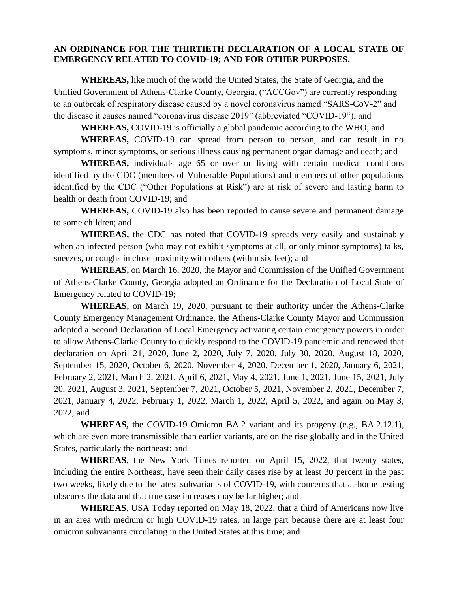### **AN ORDINANCE FOR THE THIRTIETH DECLARATION OF A LOCAL STATE OF EMERGENCY RELATED TO COVID-19; AND FOR OTHER PURPOSES.**

**WHEREAS,** like much of the world the United States, the State of Georgia, and the Unified Government of Athens-Clarke County, Georgia, ("ACCGov") are currently responding to an outbreak of respiratory disease caused by a novel coronavirus named "SARS-CoV-2" and the disease it causes named "coronavirus disease 2019" (abbreviated "COVID-19"); and

**WHEREAS,** COVID-19 is officially a global pandemic according to the WHO; and

**WHEREAS,** COVID-19 can spread from person to person, and can result in no symptoms, minor symptoms, or serious illness causing permanent organ damage and death; and

**WHEREAS,** individuals age 65 or over or living with certain medical conditions identified by the CDC (members of Vulnerable Populations) and members of other populations identified by the CDC ("Other Populations at Risk") are at risk of severe and lasting harm to health or death from COVID-19; and

**WHEREAS,** COVID-19 also has been reported to cause severe and permanent damage to some children; and

**WHEREAS,** the CDC has noted that COVID-19 spreads very easily and sustainably when an infected person (who may not exhibit symptoms at all, or only minor symptoms) talks, sneezes, or coughs in close proximity with others (within six feet); and

**WHEREAS,** on March 16, 2020, the Mayor and Commission of the Unified Government of Athens-Clarke County, Georgia adopted an Ordinance for the Declaration of Local State of Emergency related to COVID-19;

**WHEREAS,** on March 19, 2020, pursuant to their authority under the Athens-Clarke County Emergency Management Ordinance, the Athens-Clarke County Mayor and Commission adopted a Second Declaration of Local Emergency activating certain emergency powers in order to allow Athens-Clarke County to quickly respond to the COVID-19 pandemic and renewed that declaration on April 21, 2020, June 2, 2020, July 7, 2020, July 30, 2020, August 18, 2020, September 15, 2020, October 6, 2020, November 4, 2020, December 1, 2020, January 6, 2021, February 2, 2021, March 2, 2021, April 6, 2021, May 4, 2021, June 1, 2021, June 15, 2021, July 20, 2021, August 3, 2021, September 7, 2021, October 5, 2021, November 2, 2021, December 7, 2021, January 4, 2022, February 1, 2022, March 1, 2022, April 5, 2022, and again on May 3, 2022; and

**WHEREAS,** the COVID-19 Omicron BA.2 variant and its progeny (e.g., BA.2.12.1), which are even more transmissible than earlier variants, are on the rise globally and in the United States, particularly the northeast; and

**WHEREAS**, the New York Times reported on April 15, 2022, that twenty states, including the entire Northeast, have seen their daily cases rise by at least 30 percent in the past two weeks, likely due to the latest subvariants of COVID-19, with concerns that at-home testing obscures the data and that true case increases may be far higher; and

**WHEREAS**, USA Today reported on May 18, 2022, that a third of Americans now live in an area with medium or high COVID-19 rates, in large part because there are at least four omicron subvariants circulating in the United States at this time; and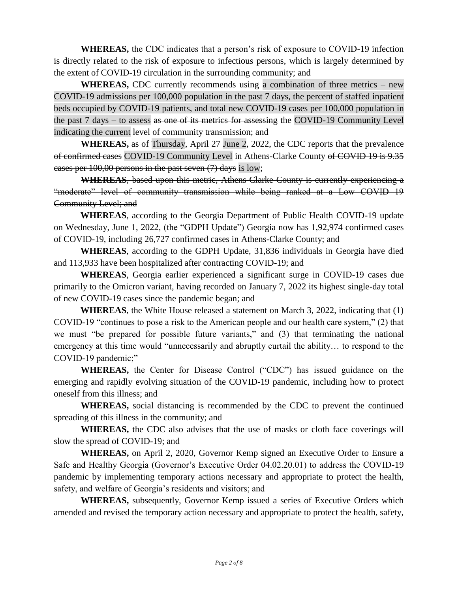**WHEREAS,** the CDC indicates that a person's risk of exposure to COVID-19 infection is directly related to the risk of exposure to infectious persons, which is largely determined by the extent of COVID-19 circulation in the surrounding community; and

**WHEREAS,** CDC currently recommends using a combination of three metrics – new COVID-19 admissions per 100,000 population in the past 7 days, the percent of staffed inpatient beds occupied by COVID-19 patients, and total new COVID-19 cases per 100,000 population in the past 7 days – to assess as one of its metrics for assessing the COVID-19 Community Level indicating the current level of community transmission; and

**WHEREAS,** as of Thursday, April 27 June 2, 2022, the CDC reports that the prevalence of confirmed cases COVID-19 Community Level in Athens-Clarke County of COVID 19 is 9.35 cases per 100,00 persons in the past seven (7) days is low;

**WHEREAS**, based upon this metric, Athens-Clarke County is currently experiencing a "moderate" level of community transmission while being ranked at a Low COVID 19 Community Level; and

**WHEREAS**, according to the Georgia Department of Public Health COVID-19 update on Wednesday, June 1, 2022, (the "GDPH Update") Georgia now has 1,92,974 confirmed cases of COVID-19, including 26,727 confirmed cases in Athens-Clarke County; and

**WHEREAS**, according to the GDPH Update, 31,836 individuals in Georgia have died and 113,933 have been hospitalized after contracting COVID-19; and

**WHEREAS**, Georgia earlier experienced a significant surge in COVID-19 cases due primarily to the Omicron variant, having recorded on January 7, 2022 its highest single-day total of new COVID-19 cases since the pandemic began; and

**WHEREAS**, the White House released a statement on March 3, 2022, indicating that (1) COVID-19 "continues to pose a risk to the American people and our health care system," (2) that we must "be prepared for possible future variants," and (3) that terminating the national emergency at this time would "unnecessarily and abruptly curtail the ability… to respond to the COVID-19 pandemic;"

**WHEREAS,** the Center for Disease Control ("CDC") has issued guidance on the emerging and rapidly evolving situation of the COVID-19 pandemic, including how to protect oneself from this illness; and

**WHEREAS,** social distancing is recommended by the CDC to prevent the continued spreading of this illness in the community; and

**WHEREAS,** the CDC also advises that the use of masks or cloth face coverings will slow the spread of COVID-19; and

**WHEREAS,** on April 2, 2020, Governor Kemp signed an Executive Order to Ensure a Safe and Healthy Georgia (Governor's Executive Order 04.02.20.01) to address the COVID-19 pandemic by implementing temporary actions necessary and appropriate to protect the health, safety, and welfare of Georgia's residents and visitors; and

**WHEREAS,** subsequently, Governor Kemp issued a series of Executive Orders which amended and revised the temporary action necessary and appropriate to protect the health, safety,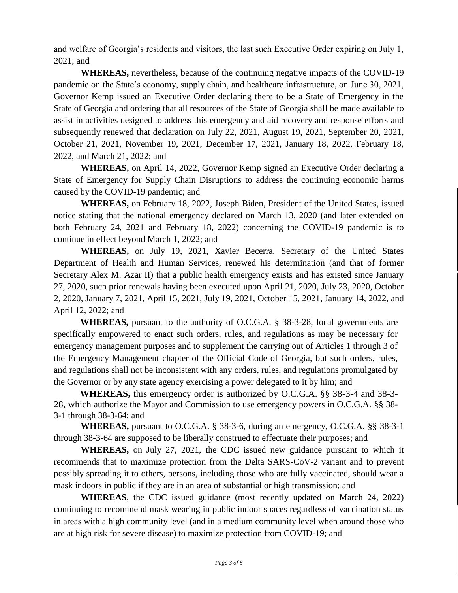and welfare of Georgia's residents and visitors, the last such Executive Order expiring on July 1, 2021; and

**WHEREAS,** nevertheless, because of the continuing negative impacts of the COVID-19 pandemic on the State's economy, supply chain, and healthcare infrastructure, on June 30, 2021, Governor Kemp issued an Executive Order declaring there to be a State of Emergency in the State of Georgia and ordering that all resources of the State of Georgia shall be made available to assist in activities designed to address this emergency and aid recovery and response efforts and subsequently renewed that declaration on July 22, 2021, August 19, 2021, September 20, 2021, October 21, 2021, November 19, 2021, December 17, 2021, January 18, 2022, February 18, 2022, and March 21, 2022; and

**WHEREAS,** on April 14, 2022, Governor Kemp signed an Executive Order declaring a State of Emergency for Supply Chain Disruptions to address the continuing economic harms caused by the COVID-19 pandemic; and

**WHEREAS,** on February 18, 2022, Joseph Biden, President of the United States, issued notice stating that the national emergency declared on March 13, 2020 (and later extended on both February 24, 2021 and February 18, 2022) concerning the COVID-19 pandemic is to continue in effect beyond March 1, 2022; and

**WHEREAS,** on July 19, 2021, Xavier Becerra, Secretary of the United States Department of Health and Human Services, renewed his determination (and that of former Secretary Alex M. Azar II) that a public health emergency exists and has existed since January 27, 2020, such prior renewals having been executed upon April 21, 2020, July 23, 2020, October 2, 2020, January 7, 2021, April 15, 2021, July 19, 2021, October 15, 2021, January 14, 2022, and April 12, 2022; and

**WHEREAS,** pursuant to the authority of O.C.G.A. § 38-3-28, local governments are specifically empowered to enact such orders, rules, and regulations as may be necessary for emergency management purposes and to supplement the carrying out of Articles 1 through 3 of the Emergency Management chapter of the Official Code of Georgia, but such orders, rules, and regulations shall not be inconsistent with any orders, rules, and regulations promulgated by the Governor or by any state agency exercising a power delegated to it by him; and

**WHEREAS,** this emergency order is authorized by O.C.G.A. §§ 38-3-4 and 38-3- 28, which authorize the Mayor and Commission to use emergency powers in O.C.G.A. §§ 38- 3-1 through 38-3-64; and

**WHEREAS,** pursuant to O.C.G.A. § 38-3-6, during an emergency, O.C.G.A. §§ 38-3-1 through 38-3-64 are supposed to be liberally construed to effectuate their purposes; and

**WHEREAS,** on July 27, 2021, the CDC issued new guidance pursuant to which it recommends that to maximize protection from the Delta SARS-CoV-2 variant and to prevent possibly spreading it to others, persons, including those who are fully vaccinated, should wear a mask indoors in public if they are in an area of substantial or high transmission; and

**WHEREAS**, the CDC issued guidance (most recently updated on March 24, 2022) continuing to recommend mask wearing in public indoor spaces regardless of vaccination status in areas with a high community level (and in a medium community level when around those who are at high risk for severe disease) to maximize protection from COVID-19; and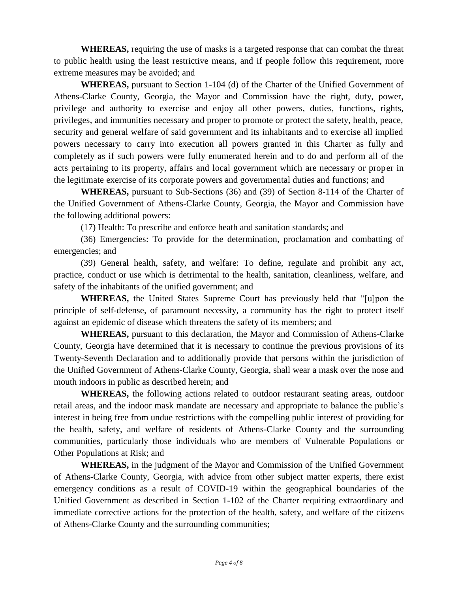**WHEREAS,** requiring the use of masks is a targeted response that can combat the threat to public health using the least restrictive means, and if people follow this requirement, more extreme measures may be avoided; and

**WHEREAS,** pursuant to Section 1-104 (d) of the Charter of the Unified Government of Athens-Clarke County, Georgia, the Mayor and Commission have the right, duty, power, privilege and authority to exercise and enjoy all other powers, duties, functions, rights, privileges, and immunities necessary and proper to promote or protect the safety, health, peace, security and general welfare of said government and its inhabitants and to exercise all implied powers necessary to carry into execution all powers granted in this Charter as fully and completely as if such powers were fully enumerated herein and to do and perform all of the acts pertaining to its property, affairs and local government which are necessary or proper in the legitimate exercise of its corporate powers and governmental duties and functions; and

**WHEREAS,** pursuant to Sub-Sections (36) and (39) of Section 8-114 of the Charter of the Unified Government of Athens-Clarke County, Georgia, the Mayor and Commission have the following additional powers:

(17) Health: To prescribe and enforce heath and sanitation standards; and

(36) Emergencies: To provide for the determination, proclamation and combatting of emergencies; and

(39) General health, safety, and welfare: To define, regulate and prohibit any act, practice, conduct or use which is detrimental to the health, sanitation, cleanliness, welfare, and safety of the inhabitants of the unified government; and

**WHEREAS,** the United States Supreme Court has previously held that "[u]pon the principle of self-defense, of paramount necessity, a community has the right to protect itself against an epidemic of disease which threatens the safety of its members; and

**WHEREAS,** pursuant to this declaration, the Mayor and Commission of Athens-Clarke County, Georgia have determined that it is necessary to continue the previous provisions of its Twenty-Seventh Declaration and to additionally provide that persons within the jurisdiction of the Unified Government of Athens-Clarke County, Georgia, shall wear a mask over the nose and mouth indoors in public as described herein; and

**WHEREAS,** the following actions related to outdoor restaurant seating areas, outdoor retail areas, and the indoor mask mandate are necessary and appropriate to balance the public's interest in being free from undue restrictions with the compelling public interest of providing for the health, safety, and welfare of residents of Athens-Clarke County and the surrounding communities, particularly those individuals who are members of Vulnerable Populations or Other Populations at Risk; and

**WHEREAS,** in the judgment of the Mayor and Commission of the Unified Government of Athens-Clarke County, Georgia, with advice from other subject matter experts, there exist emergency conditions as a result of COVID-19 within the geographical boundaries of the Unified Government as described in Section 1-102 of the Charter requiring extraordinary and immediate corrective actions for the protection of the health, safety, and welfare of the citizens of Athens-Clarke County and the surrounding communities;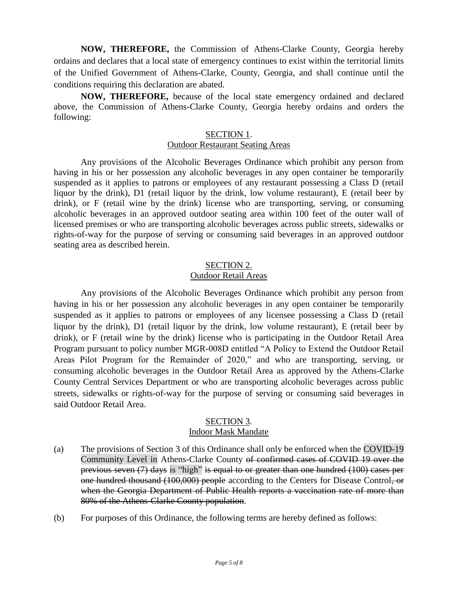**NOW, THEREFORE,** the Commission of Athens-Clarke County, Georgia hereby ordains and declares that a local state of emergency continues to exist within the territorial limits of the Unified Government of Athens-Clarke, County, Georgia, and shall continue until the conditions requiring this declaration are abated.

**NOW, THEREFORE,** because of the local state emergency ordained and declared above, the Commission of Athens-Clarke County, Georgia hereby ordains and orders the following:

# SECTION 1.

#### Outdoor Restaurant Seating Areas

Any provisions of the Alcoholic Beverages Ordinance which prohibit any person from having in his or her possession any alcoholic beverages in any open container be temporarily suspended as it applies to patrons or employees of any restaurant possessing a Class D (retail liquor by the drink), D1 (retail liquor by the drink, low volume restaurant), E (retail beer by drink), or F (retail wine by the drink) license who are transporting, serving, or consuming alcoholic beverages in an approved outdoor seating area within 100 feet of the outer wall of licensed premises or who are transporting alcoholic beverages across public streets, sidewalks or rights-of-way for the purpose of serving or consuming said beverages in an approved outdoor seating area as described herein.

### SECTION 2. Outdoor Retail Areas

Any provisions of the Alcoholic Beverages Ordinance which prohibit any person from having in his or her possession any alcoholic beverages in any open container be temporarily suspended as it applies to patrons or employees of any licensee possessing a Class D (retail liquor by the drink), D1 (retail liquor by the drink, low volume restaurant), E (retail beer by drink), or F (retail wine by the drink) license who is participating in the Outdoor Retail Area Program pursuant to policy number MGR-008D entitled "A Policy to Extend the Outdoor Retail Areas Pilot Program for the Remainder of 2020," and who are transporting, serving, or consuming alcoholic beverages in the Outdoor Retail Area as approved by the Athens-Clarke County Central Services Department or who are transporting alcoholic beverages across public streets, sidewalks or rights-of-way for the purpose of serving or consuming said beverages in said Outdoor Retail Area.

#### SECTION 3. Indoor Mask Mandate

- (a) The provisions of Section 3 of this Ordinance shall only be enforced when the COVID-19 Community Level in Athens-Clarke County of confirmed cases of COVID 19 over the previous seven (7) days is "high" is equal to or greater than one hundred (100) cases per one hundred thousand (100,000) people according to the Centers for Disease Control, or when the Georgia Department of Public Health reports a vaccination rate of more than 80% of the Athens-Clarke County population.
- (b) For purposes of this Ordinance, the following terms are hereby defined as follows: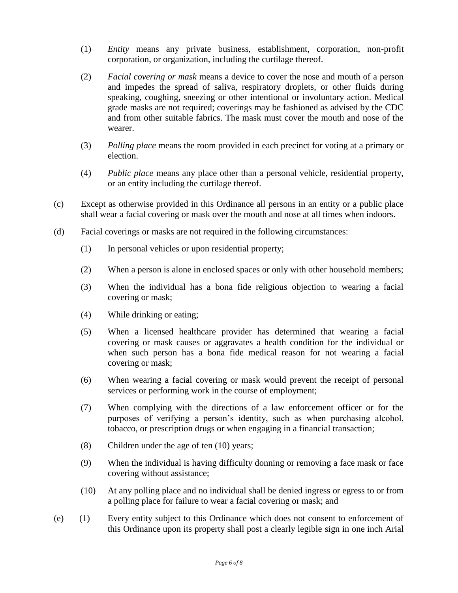- (1) *Entity* means any private business, establishment, corporation, non-profit corporation, or organization, including the curtilage thereof.
- (2) *Facial covering or mask* means a device to cover the nose and mouth of a person and impedes the spread of saliva, respiratory droplets, or other fluids during speaking, coughing, sneezing or other intentional or involuntary action. Medical grade masks are not required; coverings may be fashioned as advised by the CDC and from other suitable fabrics. The mask must cover the mouth and nose of the wearer.
- (3) *Polling place* means the room provided in each precinct for voting at a primary or election.
- (4) *Public place* means any place other than a personal vehicle, residential property, or an entity including the curtilage thereof.
- (c) Except as otherwise provided in this Ordinance all persons in an entity or a public place shall wear a facial covering or mask over the mouth and nose at all times when indoors.
- (d) Facial coverings or masks are not required in the following circumstances:
	- (1) In personal vehicles or upon residential property;
	- (2) When a person is alone in enclosed spaces or only with other household members;
	- (3) When the individual has a bona fide religious objection to wearing a facial covering or mask;
	- (4) While drinking or eating;
	- (5) When a licensed healthcare provider has determined that wearing a facial covering or mask causes or aggravates a health condition for the individual or when such person has a bona fide medical reason for not wearing a facial covering or mask;
	- (6) When wearing a facial covering or mask would prevent the receipt of personal services or performing work in the course of employment;
	- (7) When complying with the directions of a law enforcement officer or for the purposes of verifying a person's identity, such as when purchasing alcohol, tobacco, or prescription drugs or when engaging in a financial transaction;
	- (8) Children under the age of ten (10) years;
	- (9) When the individual is having difficulty donning or removing a face mask or face covering without assistance;
	- (10) At any polling place and no individual shall be denied ingress or egress to or from a polling place for failure to wear a facial covering or mask; and
- (e) (1) Every entity subject to this Ordinance which does not consent to enforcement of this Ordinance upon its property shall post a clearly legible sign in one inch Arial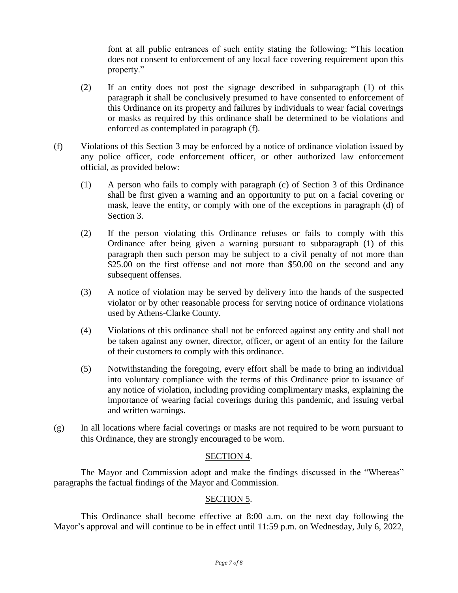font at all public entrances of such entity stating the following: "This location does not consent to enforcement of any local face covering requirement upon this property."

- (2) If an entity does not post the signage described in subparagraph (1) of this paragraph it shall be conclusively presumed to have consented to enforcement of this Ordinance on its property and failures by individuals to wear facial coverings or masks as required by this ordinance shall be determined to be violations and enforced as contemplated in paragraph (f).
- (f) Violations of this Section 3 may be enforced by a notice of ordinance violation issued by any police officer, code enforcement officer, or other authorized law enforcement official, as provided below:
	- (1) A person who fails to comply with paragraph (c) of Section 3 of this Ordinance shall be first given a warning and an opportunity to put on a facial covering or mask, leave the entity, or comply with one of the exceptions in paragraph (d) of Section 3.
	- (2) If the person violating this Ordinance refuses or fails to comply with this Ordinance after being given a warning pursuant to subparagraph (1) of this paragraph then such person may be subject to a civil penalty of not more than \$25.00 on the first offense and not more than \$50.00 on the second and any subsequent offenses.
	- (3) A notice of violation may be served by delivery into the hands of the suspected violator or by other reasonable process for serving notice of ordinance violations used by Athens-Clarke County.
	- (4) Violations of this ordinance shall not be enforced against any entity and shall not be taken against any owner, director, officer, or agent of an entity for the failure of their customers to comply with this ordinance.
	- (5) Notwithstanding the foregoing, every effort shall be made to bring an individual into voluntary compliance with the terms of this Ordinance prior to issuance of any notice of violation, including providing complimentary masks, explaining the importance of wearing facial coverings during this pandemic, and issuing verbal and written warnings.
- (g) In all locations where facial coverings or masks are not required to be worn pursuant to this Ordinance, they are strongly encouraged to be worn.

### SECTION 4.

The Mayor and Commission adopt and make the findings discussed in the "Whereas" paragraphs the factual findings of the Mayor and Commission.

# SECTION 5.

This Ordinance shall become effective at 8:00 a.m. on the next day following the Mayor's approval and will continue to be in effect until 11:59 p.m. on Wednesday, July 6, 2022,